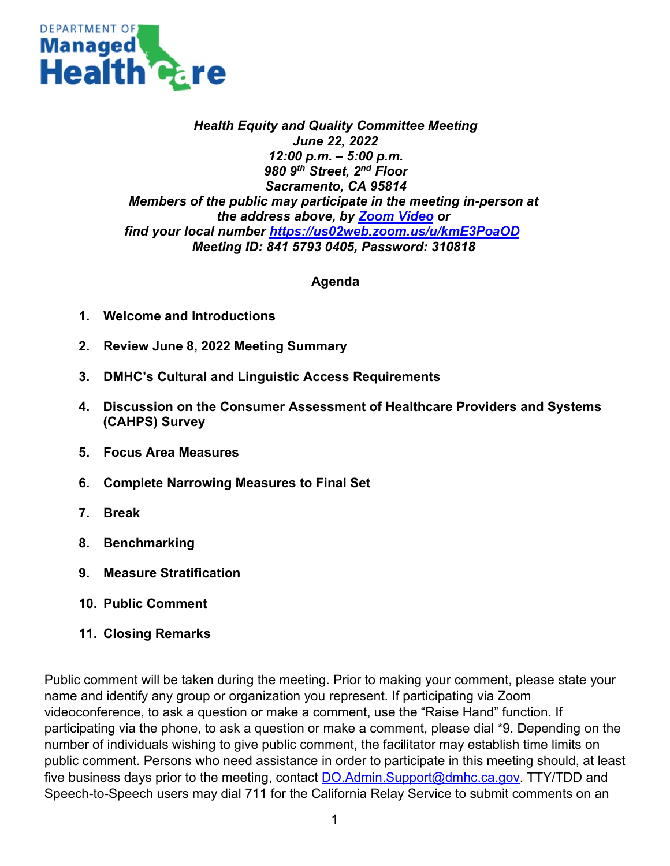

## *Health Equity and Quality Committee Meeting June 22, 2022 12:00 p.m. – 5:00 p.m. 980 9th Street, 2nd Floor Sacramento, CA 95814 Members of the public may participate in the meeting in-person at the address above, by [Zoom Video](https://us02web.zoom.us/j/84157930405?pwd=YXh5cUNEMjl3UXI3VHZCU2NEK0JMdz09) or find your local number <https://us02web.zoom.us/u/kmE3PoaOD> Meeting ID: 841 5793 0405, Password: 310818*

## **Agenda**

- **1. Welcome and Introductions**
- **2. Review June 8, 2022 Meeting Summary**
- **3. DMHC's Cultural and Linguistic Access Requirements**
- **4. Discussion on the Consumer Assessment of Healthcare Providers and Systems (CAHPS) Survey**
- **5. Focus Area Measures**
- **6. Complete Narrowing Measures to Final Set**
- **7. Break**
- **8. Benchmarking**
- **9. Measure Stratification**
- **10. Public Comment**
- **11. Closing Remarks**

Public comment will be taken during the meeting. Prior to making your comment, please state your name and identify any group or organization you represent. If participating via Zoom videoconference, to ask a question or make a comment, use the "Raise Hand" function. If participating via the phone, to ask a question or make a comment, please dial \*9. Depending on the number of individuals wishing to give public comment, the facilitator may establish time limits on public comment. Persons who need assistance in order to participate in this meeting should, at least five business days prior to the meeting, contact [DO.Admin.Support@dmhc.ca.gov.](mailto:DO.Admin.Support@dmhc.ca.gov) TTY/TDD and Speech-to-Speech users may dial 711 for the California Relay Service to submit comments on an